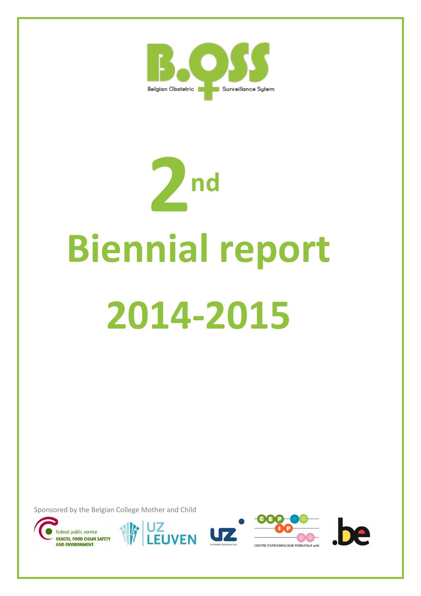

# **Biennial report 2014-2015 2nd**

Sponsored by the Belgian College Mother and Child











CENTRE D'EPIDEMIOLOGIE PERINATALE asbl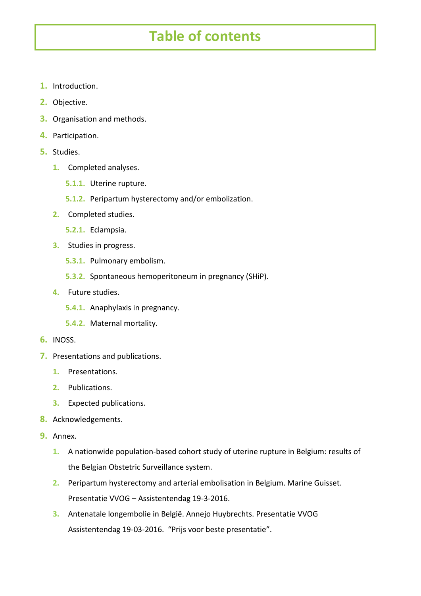# **Table of contents**

- **1.** Introduction.
- **2.** Objective.
- **3.** Organisation and methods.
- **4.** Participation.
- **5.** Studies.
	- **1.** Completed analyses.
		- **5.1.1.** Uterine rupture.
		- **5.1.2.** Peripartum hysterectomy and/or embolization.
	- **2.** Completed studies.
		- **5.2.1.** Eclampsia.
	- **3.** Studies in progress.
		- **5.3.1.** Pulmonary embolism.
		- **5.3.2.** Spontaneous hemoperitoneum in pregnancy (SHiP).
	- **4.** Future studies.
		- **5.4.1.** Anaphylaxis in pregnancy.
		- **5.4.2.** Maternal mortality.
- **6.** INOSS.
- **7.** Presentations and publications.
	- **1.** Presentations.
	- **2.** Publications.
	- **3.** Expected publications.
- **8.** Acknowledgements.
- **9.** Annex.
	- **1.** A nationwide population-based cohort study of uterine rupture in Belgium: results of the Belgian Obstetric Surveillance system.
	- **2.** Peripartum hysterectomy and arterial embolisation in Belgium. Marine Guisset. Presentatie VVOG – Assistentendag 19-3-2016.
	- **3.** Antenatale longembolie in België. Annejo Huybrechts. Presentatie VVOG Assistentendag 19-03-2016. "Prijs voor beste presentatie".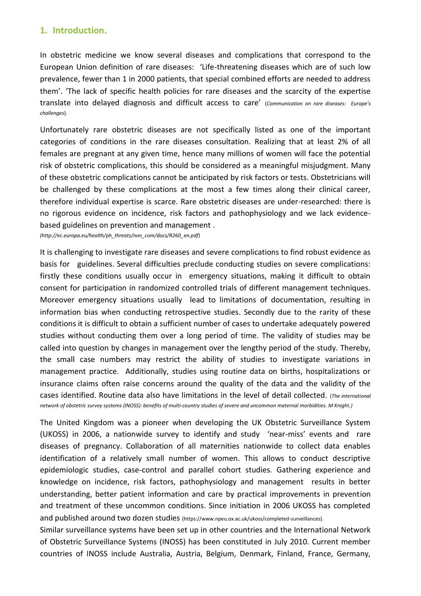### **1. Introduction.**

In obstetric medicine we know several diseases and complications that correspond to the European Union definition of rare diseases: 'Life-threatening diseases which are of such low prevalence, fewer than 1 in 2000 patients, that special combined efforts are needed to address them'. 'The lack of specific health policies for rare diseases and the scarcity of the expertise translate into delayed diagnosis and difficult access to care' (*Communication on rare diseases: Europe's challenges*).

Unfortunately rare obstetric diseases are not specifically listed as one of the important categories of conditions in the rare diseases consultation. Realizing that at least 2% of all females are pregnant at any given time, hence many millions of women will face the potential risk of obstetric complications, this should be considered as a meaningful misjudgment. Many of these obstetric complications cannot be anticipated by risk factors or tests. Obstetricians will be challenged by these complications at the most a few times along their clinical career, therefore individual expertise is scarce. Rare obstetric diseases are under-researched: there is no rigorous evidence on incidence, risk factors and pathophysiology and we lack evidencebased guidelines on prevention and management .

*(http://ec.europa.eu/health/ph\_threats/non\_com/docs/R260\_en.pdf*)

It is challenging to investigate rare diseases and severe complications to find robust evidence as basis for guidelines. Several difficulties preclude conducting studies on severe complications: firstly these conditions usually occur in emergency situations, making it difficult to obtain consent for participation in randomized controlled trials of different management techniques. Moreover emergency situations usually lead to limitations of documentation, resulting in information bias when conducting retrospective studies. Secondly due to the rarity of these conditions it is difficult to obtain a sufficient number of cases to undertake adequately powered studies without conducting them over a long period of time. The validity of studies may be called into question by changes in management over the lengthy period of the study. Thereby, the small case numbers may restrict the ability of studies to investigate variations in management practice. Additionally, studies using routine data on births, hospitalizations or insurance claims often raise concerns around the quality of the data and the validity of the cases identified. Routine data also have limitations in the level of detail collected. (*The international network of obstetric survey systems (INOSS): benefits of multi-country studies of severe and uncommon maternal morbidities. M Knight.)*

The United Kingdom was a pioneer when developing the UK Obstetric Surveillance System (UKOSS) in 2006, a nationwide survey to identify and study 'near-miss' events and rare diseases of pregnancy. Collaboration of all maternities nationwide to collect data enables identification of a relatively small number of women. This allows to conduct descriptive epidemiologic studies, case-control and parallel cohort studies. Gathering experience and knowledge on incidence, risk factors, pathophysiology and management results in better understanding, better patient information and care by practical improvements in prevention and treatment of these uncommon conditions. Since initiation in 2006 UKOSS has completed and published around two dozen studies (https://www.npeu.ox.ac.uk/ukoss/completed-surveillances).

Similar surveillance systems have been set up in other countries and the International Network of Obstetric Surveillance Systems (INOSS) has been constituted in July 2010. Current member countries of INOSS include Australia, Austria, Belgium, Denmark, Finland, France, Germany,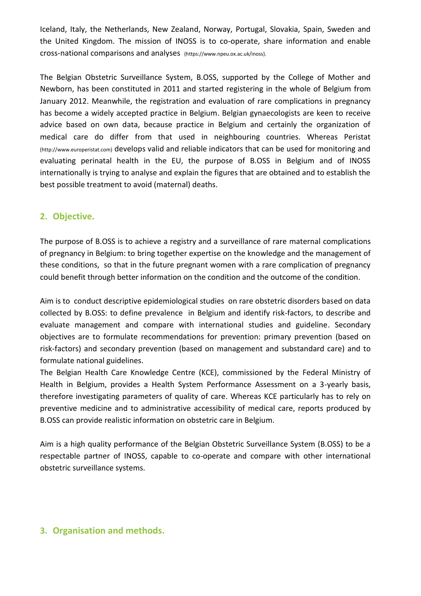Iceland, Italy, the Netherlands, New Zealand, Norway, Portugal, Slovakia, Spain, Sweden and the United Kingdom. The mission of INOSS is to co-operate, share information and enable cross-national comparisons and analyses (https://www.npeu.ox.ac.uk/inoss).

The Belgian Obstetric Surveillance System, B.OSS, supported by the College of Mother and Newborn, has been constituted in 2011 and started registering in the whole of Belgium from January 2012. Meanwhile, the registration and evaluation of rare complications in pregnancy has become a widely accepted practice in Belgium. Belgian gynaecologists are keen to receive advice based on own data, because practice in Belgium and certainly the organization of medical care do differ from that used in neighbouring countries. Whereas Peristat (http://www.europeristat.com) develops valid and reliable indicators that can be used for monitoring and evaluating perinatal health in the EU, the purpose of B.OSS in Belgium and of INOSS internationally is trying to analyse and explain the figures that are obtained and to establish the best possible treatment to avoid (maternal) deaths.

# **2. Objective.**

The purpose of B.OSS is to achieve a registry and a surveillance of rare maternal complications of pregnancy in Belgium: to bring together expertise on the knowledge and the management of these conditions, so that in the future pregnant women with a rare complication of pregnancy could benefit through better information on the condition and the outcome of the condition.

Aim is to conduct descriptive epidemiological studies on rare obstetric disorders based on data collected by B.OSS: to define prevalence in Belgium and identify risk-factors, to describe and evaluate management and compare with international studies and guideline. Secondary objectives are to formulate recommendations for prevention: primary prevention (based on risk-factors) and secondary prevention (based on management and substandard care) and to formulate national guidelines.

The Belgian Health Care Knowledge Centre (KCE), commissioned by the Federal Ministry of Health in Belgium, provides a Health System Performance Assessment on a 3-yearly basis, therefore investigating parameters of quality of care. Whereas KCE particularly has to rely on preventive medicine and to administrative accessibility of medical care, reports produced by B.OSS can provide realistic information on obstetric care in Belgium.

Aim is a high quality performance of the Belgian Obstetric Surveillance System (B.OSS) to be a respectable partner of INOSS, capable to co-operate and compare with other international obstetric surveillance systems.

# **3. Organisation and methods.**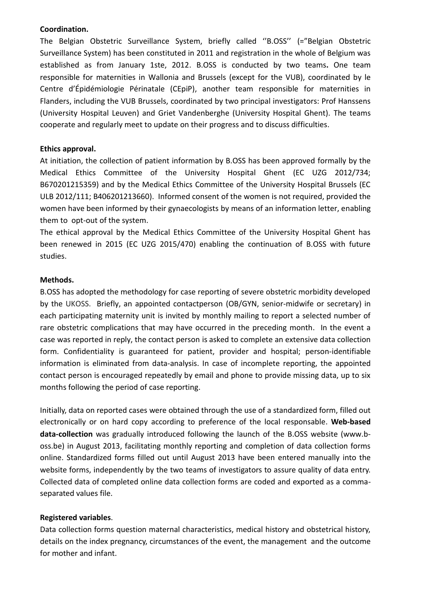### **Coordination.**

The Belgian Obstetric Surveillance System, briefly called ''B.OSS'' (="Belgian Obstetric Surveillance System) has been constituted in 2011 and registration in the whole of Belgium was established as from January 1ste, 2012. B.OSS is conducted by two teams**.** One team responsible for maternities in Wallonia and Brussels (except for the VUB), coordinated by le Centre d'Épidémiologie Périnatale (CEpiP), another team responsible for maternities in Flanders, including the VUB Brussels, coordinated by two principal investigators: Prof Hanssens (University Hospital Leuven) and Griet Vandenberghe (University Hospital Ghent). The teams cooperate and regularly meet to update on their progress and to discuss difficulties.

### **Ethics approval.**

At initiation, the collection of patient information by B.OSS has been approved formally by the Medical Ethics Committee of the University Hospital Ghent (EC UZG 2012/734; B670201215359) and by the Medical Ethics Committee of the University Hospital Brussels (EC ULB 2012/111; B406201213660). Informed consent of the women is not required, provided the women have been informed by their gynaecologists by means of an information letter, enabling them to opt-out of the system.

The ethical approval by the Medical Ethics Committee of the University Hospital Ghent has been renewed in 2015 (EC UZG 2015/470) enabling the continuation of B.OSS with future studies.

### **Methods.**

B.OSS has adopted the methodology for case reporting of severe obstetric morbidity developed by the UKOSS. Briefly, an appointed contactperson (OB/GYN, senior-midwife or secretary) in each participating maternity unit is invited by monthly mailing to report a selected number of rare obstetric complications that may have occurred in the preceding month. In the event a case was reported in reply, the contact person is asked to complete an extensive data collection form. Confidentiality is guaranteed for patient, provider and hospital; person-identifiable information is eliminated from data-analysis. In case of incomplete reporting, the appointed contact person is encouraged repeatedly by email and phone to provide missing data, up to six months following the period of case reporting.

Initially, data on reported cases were obtained through the use of a standardized form, filled out electronically or on hard copy according to preference of the local responsable. **Web-based data-collection** was gradually introduced following the launch of the B.OSS website (www.boss.be) in August 2013, facilitating monthly reporting and completion of data collection forms online. Standardized forms filled out until August 2013 have been entered manually into the website forms, independently by the two teams of investigators to assure quality of data entry. Collected data of completed online data collection forms are coded and exported as a commaseparated values file.

# **Registered variables**.

Data collection forms question maternal characteristics, medical history and obstetrical history, details on the index pregnancy, circumstances of the event, the management and the outcome for mother and infant.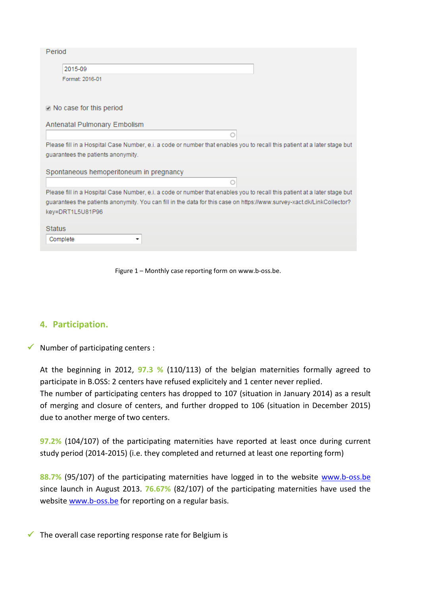| Period                                                                                                                    |
|---------------------------------------------------------------------------------------------------------------------------|
| 2015-09                                                                                                                   |
| Format: 2016-01                                                                                                           |
|                                                                                                                           |
| in No case for this period                                                                                                |
| Antenatal Pulmonary Embolism                                                                                              |
|                                                                                                                           |
| Please fill in a Hospital Case Number, e.i. a code or number that enables you to recall this patient at a later stage but |
| quarantees the patients anonymity.                                                                                        |
| Spontaneous hemoperitoneum in pregnancy                                                                                   |
|                                                                                                                           |
|                                                                                                                           |
| Please fill in a Hospital Case Number, e.i. a code or number that enables you to recall this patient at a later stage but |
| guarantees the patients anonymity. You can fill in the data for this case on https://www.survey-xact.dk/LinkCollector?    |
| key=DRT1L5U81P96                                                                                                          |
|                                                                                                                           |
| <b>Status</b>                                                                                                             |
| Complete<br>$\overline{\phantom{a}}$                                                                                      |
|                                                                                                                           |

Figure 1 – Monthly case reporting form on www.b-oss.be.

# **4. Participation.**

 $\checkmark$  Number of participating centers :

At the beginning in 2012, **97.3 %** (110/113) of the belgian maternities formally agreed to participate in B.OSS: 2 centers have refused explicitely and 1 center never replied.

The number of participating centers has dropped to 107 (situation in January 2014) as a result of merging and closure of centers, and further dropped to 106 (situation in December 2015) due to another merge of two centers.

**97.2%** (104/107) of the participating maternities have reported at least once during current study period (2014-2015) (i.e. they completed and returned at least one reporting form)

**88.7%** (95/107) of the participating maternities have logged in to the website [www.b-oss.be](http://www.b-oss.be/) since launch in August 2013. **76.67%** (82/107) of the participating maternities have used the website [www.b-oss.be](http://www.b-oss.be/) for reporting on a regular basis.

 $\checkmark$  The overall case reporting response rate for Belgium is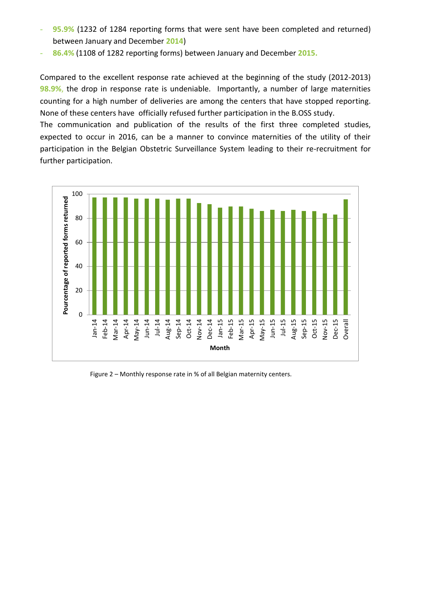- 95.9% (1232 of 1284 reporting forms that were sent have been completed and returned) between January and December **2014**)
- **86.4%** (1108 of 1282 reporting forms) between January and December **2015.**

Compared to the excellent response rate achieved at the beginning of the study (2012-2013) **98.9%**, the drop in response rate is undeniable. Importantly, a number of large maternities counting for a high number of deliveries are among the centers that have stopped reporting. None of these centers have officially refused further participation in the B.OSS study.

The communication and publication of the results of the first three completed studies, expected to occur in 2016, can be a manner to convince maternities of the utility of their participation in the Belgian Obstetric Surveillance System leading to their re-recruitment for further participation.



Figure 2 – Monthly response rate in % of all Belgian maternity centers.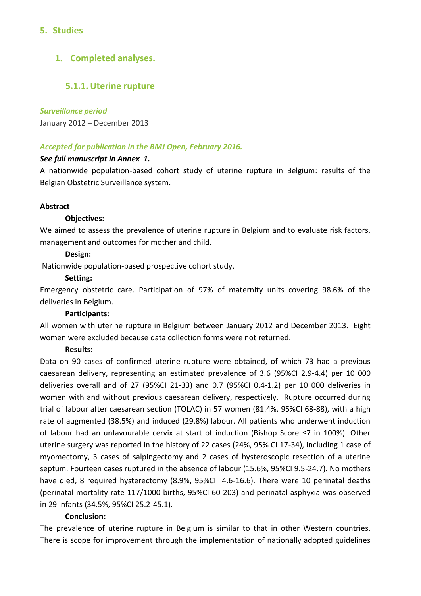# **5. Studies**

# **1. Completed analyses.**

# **5.1.1. Uterine rupture**

### *Surveillance period*

January 2012 – December 2013

# *Accepted for publication in the BMJ Open, February 2016.*

### *See full manuscript in Annex 1.*

A nationwide population-based cohort study of uterine rupture in Belgium: results of the Belgian Obstetric Surveillance system.

### **Abstract**

### **Objectives:**

We aimed to assess the prevalence of uterine rupture in Belgium and to evaluate risk factors, management and outcomes for mother and child.

### **Design:**

Nationwide population-based prospective cohort study.

### **Setting:**

Emergency obstetric care. Participation of 97% of maternity units covering 98.6% of the deliveries in Belgium.

### **Participants:**

All women with uterine rupture in Belgium between January 2012 and December 2013. Eight women were excluded because data collection forms were not returned.

### **Results:**

Data on 90 cases of confirmed uterine rupture were obtained, of which 73 had a previous caesarean delivery, representing an estimated prevalence of 3.6 (95%CI 2.9-4.4) per 10 000 deliveries overall and of 27 (95%CI 21-33) and 0.7 (95%CI 0.4-1.2) per 10 000 deliveries in women with and without previous caesarean delivery, respectively. Rupture occurred during trial of labour after caesarean section (TOLAC) in 57 women (81.4%, 95%CI 68-88), with a high rate of augmented (38.5%) and induced (29.8%) labour. All patients who underwent induction of labour had an unfavourable cervix at start of induction (Bishop Score ≤7 in 100%). Other uterine surgery was reported in the history of 22 cases (24%, 95% CI 17-34), including 1 case of myomectomy, 3 cases of salpingectomy and 2 cases of hysteroscopic resection of a uterine septum. Fourteen cases ruptured in the absence of labour (15.6%, 95%CI 9.5-24.7). No mothers have died, 8 required hysterectomy (8.9%, 95%CI 4.6-16.6). There were 10 perinatal deaths (perinatal mortality rate 117/1000 births, 95%CI 60-203) and perinatal asphyxia was observed in 29 infants (34.5%, 95%CI 25.2-45.1).

# **Conclusion:**

The prevalence of uterine rupture in Belgium is similar to that in other Western countries. There is scope for improvement through the implementation of nationally adopted guidelines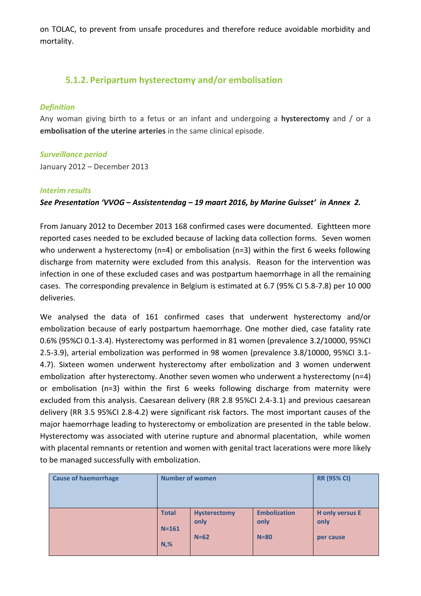on TOLAC, to prevent from unsafe procedures and therefore reduce avoidable morbidity and mortality.

# **5.1.2. Peripartum hysterectomy and/or embolisation**

### *Definition*

Any woman giving birth to a fetus or an infant and undergoing a **hysterectomy** and / or a **embolisation of the uterine arteries** in the same clinical episode.

### *Surveillance period*

January 2012 – December 2013

### *Interim results*

# *See Presentation 'VVOG – Assistentendag – 19 maart 2016, by Marine Guisset' in Annex 2.*

From January 2012 to December 2013 168 confirmed cases were documented. Eightteen more reported cases needed to be excluded because of lacking data collection forms. Seven women who underwent a hysterectomy (n=4) or embolisation (n=3) within the first 6 weeks following discharge from maternity were excluded from this analysis. Reason for the intervention was infection in one of these excluded cases and was postpartum haemorrhage in all the remaining cases. The corresponding prevalence in Belgium is estimated at 6.7 (95% CI 5.8-7.8) per 10 000 deliveries.

We analysed the data of 161 confirmed cases that underwent hysterectomy and/or embolization because of early postpartum haemorrhage. One mother died, case fatality rate 0.6% (95%CI 0.1-3.4). Hysterectomy was performed in 81 women (prevalence 3.2/10000, 95%CI 2.5-3.9), arterial embolization was performed in 98 women (prevalence 3.8/10000, 95%CI 3.1- 4.7). Sixteen women underwent hysterectomy after embolization and 3 women underwent embolization after hysterectomy. Another seven women who underwent a hysterectomy (n=4) or embolisation (n=3) within the first 6 weeks following discharge from maternity were excluded from this analysis. Caesarean delivery (RR 2.8 95%CI 2.4-3.1) and previous caesarean delivery (RR 3.5 95%CI 2.8-4.2) were significant risk factors. The most important causes of the major haemorrhage leading to hysterectomy or embolization are presented in the table below. Hysterectomy was associated with uterine rupture and abnormal placentation, while women with placental remnants or retention and women with genital tract lacerations were more likely to be managed successfully with embolization.

| <b>Cause of haemorrhage</b> | <b>Number of women</b> |                     | <b>RR (95% CI)</b>  |                        |
|-----------------------------|------------------------|---------------------|---------------------|------------------------|
|                             | <b>Total</b>           | <b>Hysterectomy</b> | <b>Embolization</b> | <b>H</b> only versus E |
|                             | $N = 161$              | only                | only                | only                   |
|                             | $N,$ %                 | $N=62$              | $N = 80$            | per cause              |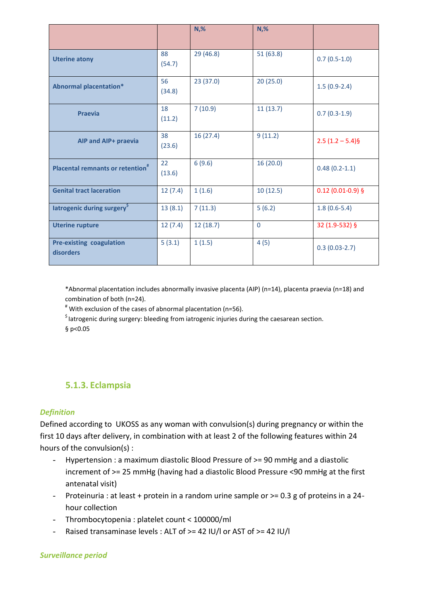|                                                     |              | $N,$ %    | $N,$ %    |                     |
|-----------------------------------------------------|--------------|-----------|-----------|---------------------|
| <b>Uterine atony</b>                                | 88<br>(54.7) | 29 (46.8) | 51(63.8)  | $0.7(0.5-1.0)$      |
| <b>Abnormal placentation*</b>                       | 56<br>(34.8) | 23(37.0)  | 20(25.0)  | $1.5(0.9-2.4)$      |
| <b>Praevia</b>                                      | 18<br>(11.2) | 7(10.9)   | 11(13.7)  | $0.7(0.3-1.9)$      |
| AIP and AIP+ praevia                                | 38<br>(23.6) | 16(27.4)  | 9(11.2)   | $2.5(1.2-5.4)\$     |
| <b>Placental remnants or retention</b> <sup>#</sup> | 22<br>(13.6) | 6(9.6)    | 16 (20.0) | $0.48(0.2-1.1)$     |
| <b>Genital tract laceration</b>                     | 12(7.4)      | 1(1.6)    | 10(12.5)  | $0.12$ (0.01-0.9) § |
| latrogenic during surgery <sup>5</sup>              | 13(8.1)      | 7(11.3)   | 5(6.2)    | $1.8(0.6-5.4)$      |
| <b>Uterine rupture</b>                              | 12(7.4)      | 12(18.7)  | $\Omega$  | 32 (1.9-532) §      |
| <b>Pre-existing coagulation</b><br>disorders        | 5(3.1)       | 1(1.5)    | 4(5)      | $0.3(0.03-2.7)$     |

\*Abnormal placentation includes abnormally invasive placenta (AIP) (n=14), placenta praevia (n=18) and combination of both (n=24).

# With exclusion of the cases of abnormal placentation (n=56).

\$ Iatrogenic during surgery: bleeding from iatrogenic injuries during the caesarean section.

§ p<0.05

# **5.1.3. Eclampsia**

# *Definition*

Defined according to UKOSS as any woman with convulsion(s) during pregnancy or within the first 10 days after delivery, in combination with at least 2 of the following features within 24 hours of the convulsion(s) :

- Hypertension : a maximum diastolic Blood Pressure of >= 90 mmHg and a diastolic increment of >= 25 mmHg (having had a diastolic Blood Pressure <90 mmHg at the first antenatal visit)
- Proteinuria : at least + protein in a random urine sample or >= 0.3 g of proteins in a 24 hour collection
- Thrombocytopenia : platelet count < 100000/ml
- Raised transaminase levels : ALT of >= 42 IU/l or AST of >= 42 IU/l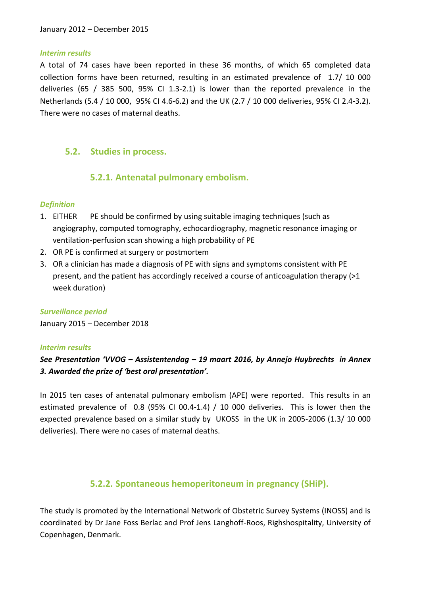### *Interim results*

A total of 74 cases have been reported in these 36 months, of which 65 completed data collection forms have been returned, resulting in an estimated prevalence of 1.7/ 10 000 deliveries (65 / 385 500, 95% CI 1.3-2.1) is lower than the reported prevalence in the Netherlands (5.4 / 10 000, 95% CI 4.6-6.2) and the UK (2.7 / 10 000 deliveries, 95% CI 2.4-3.2). There were no cases of maternal deaths.

# **5.2. Studies in process.**

# **5.2.1. Antenatal pulmonary embolism.**

# *Definition*

- 1. EITHER PE should be confirmed by using suitable imaging techniques (such as angiography, computed tomography, echocardiography, magnetic resonance imaging or ventilation-perfusion scan showing a high probability of PE
- 2. OR PE is confirmed at surgery or postmortem
- 3. OR a clinician has made a diagnosis of PE with signs and symptoms consistent with PE present, and the patient has accordingly received a course of anticoagulation therapy (>1 week duration)

# *Surveillance period*

January 2015 – December 2018

# *Interim results*

# *See Presentation 'VVOG – Assistentendag – 19 maart 2016, by Annejo Huybrechts in Annex 3. Awarded the prize of 'best oral presentation'.*

In 2015 ten cases of antenatal pulmonary embolism (APE) were reported. This results in an estimated prevalence of 0.8 (95% CI 00.4-1.4) / 10 000 deliveries. This is lower then the expected prevalence based on a similar study by UKOSS in the UK in 2005-2006 (1.3/ 10 000 deliveries). There were no cases of maternal deaths.

# **5.2.2. Spontaneous hemoperitoneum in pregnancy (SHiP).**

The study is promoted by the International Network of Obstetric Survey Systems (INOSS) and is coordinated by Dr Jane Foss Berlac and Prof Jens Langhoff-Roos, Righshospitality, University of Copenhagen, Denmark.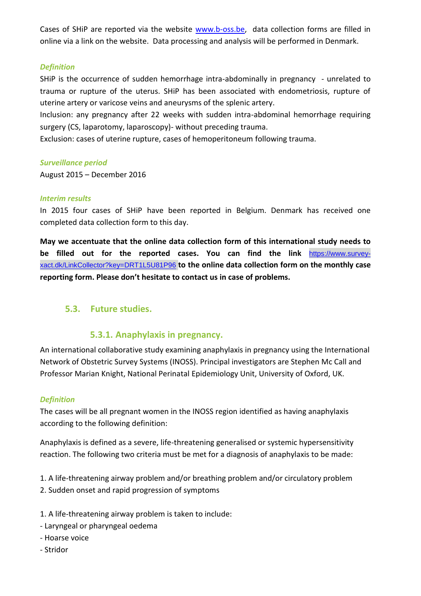Cases of SHiP are reported via the website [www.b-oss.be,](http://www.b-oss.be/) data collection forms are filled in online via a link on the website. Data processing and analysis will be performed in Denmark.

### *Definition*

SHiP is the occurrence of sudden hemorrhage intra-abdominally in pregnancy - unrelated to trauma or rupture of the uterus. SHiP has been associated with endometriosis, rupture of uterine artery or varicose veins and aneurysms of the splenic artery.

Inclusion: any pregnancy after 22 weeks with sudden intra-abdominal hemorrhage requiring surgery (CS, laparotomy, laparoscopy)- without preceding trauma.

Exclusion: cases of uterine rupture, cases of hemoperitoneum following trauma.

### *Surveillance period*

August 2015 – December 2016

### *Interim results*

In 2015 four cases of SHiP have been reported in Belgium. Denmark has received one completed data collection form to this day.

**May we accentuate that the online data collection form of this international study needs to be filled out for the reported cases. You can find the link** [https://www.survey](https://www.survey-xact.dk/LinkCollector?key=DRT1L5U81P96)[xact.dk/LinkCollector?key=DRT1L5U81P96](https://www.survey-xact.dk/LinkCollector?key=DRT1L5U81P96) **to the online data collection form on the monthly case reporting form. Please don't hesitate to contact us in case of problems.** 

# **5.3. Future studies.**

# **5.3.1. Anaphylaxis in pregnancy.**

An international collaborative study examining anaphylaxis in pregnancy using the International Network of Obstetric Survey Systems (INOSS). Principal investigators are Stephen Mc Call and Professor Marian Knight, National Perinatal Epidemiology Unit, University of Oxford, UK.

# *Definition*

The cases will be all pregnant women in the INOSS region identified as having anaphylaxis according to the following definition:

Anaphylaxis is defined as a severe, life-threatening generalised or systemic hypersensitivity reaction. The following two criteria must be met for a diagnosis of anaphylaxis to be made:

- 1. A life-threatening airway problem and/or breathing problem and/or circulatory problem
- 2. Sudden onset and rapid progression of symptoms
- 1. A life-threatening airway problem is taken to include:
- Laryngeal or pharyngeal oedema
- Hoarse voice
- Stridor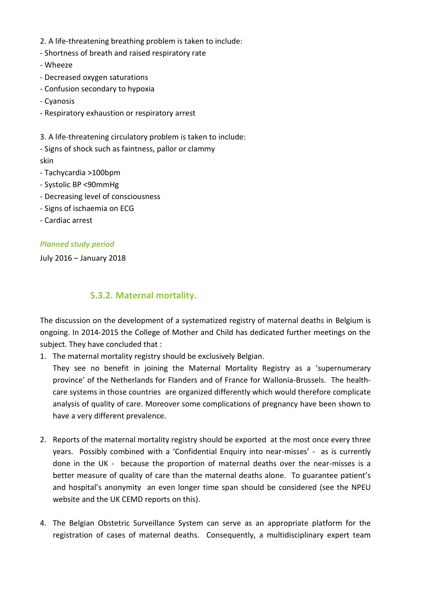- 2. A life-threatening breathing problem is taken to include:
- Shortness of breath and raised respiratory rate
- Wheeze
- Decreased oxygen saturations
- Confusion secondary to hypoxia
- Cyanosis
- Respiratory exhaustion or respiratory arrest

3. A life-threatening circulatory problem is taken to include:

- Signs of shock such as faintness, pallor or clammy skin
- Tachycardia >100bpm
- Systolic BP <90mmHg
- Decreasing level of consciousness
- Signs of ischaemia on ECG
- Cardiac arrest

# *Planned study period*

July 2016 – January 2018

# **5.3.2. Maternal mortality.**

The discussion on the development of a systematized registry of maternal deaths in Belgium is ongoing. In 2014-2015 the College of Mother and Child has dedicated further meetings on the subject. They have concluded that :

1. The maternal mortality registry should be exclusively Belgian.

They see no benefit in joining the Maternal Mortality Registry as a 'supernumerary province' of the Netherlands for Flanders and of France for Wallonia-Brussels. The healthcare systems in those countries are organized differently which would therefore complicate analysis of quality of care. Moreover some complications of pregnancy have been shown to have a very different prevalence.

- 2. Reports of the maternal mortality registry should be exported at the most once every three years. Possibly combined with a 'Confidential Enquiry into near-misses' - as is currently done in the UK - because the proportion of maternal deaths over the near-misses is a better measure of quality of care than the maternal deaths alone. To guarantee patient's and hospital's anonymity an even longer time span should be considered (see the NPEU website and the UK CEMD reports on this).
- 4. The Belgian Obstetric Surveillance System can serve as an appropriate platform for the registration of cases of maternal deaths. Consequently, a multidisciplinary expert team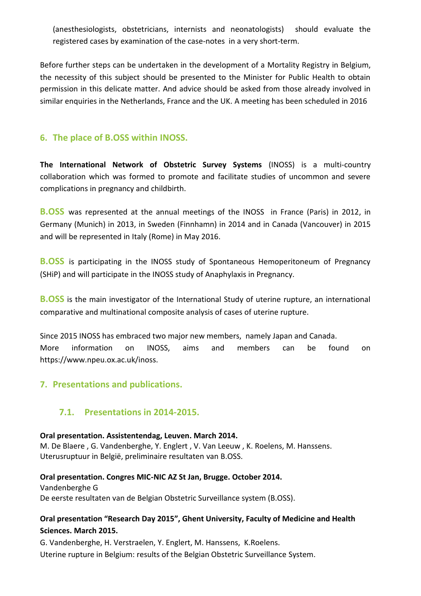(anesthesiologists, obstetricians, internists and neonatologists) should evaluate the registered cases by examination of the case-notes in a very short-term.

Before further steps can be undertaken in the development of a Mortality Registry in Belgium, the necessity of this subject should be presented to the Minister for Public Health to obtain permission in this delicate matter. And advice should be asked from those already involved in similar enquiries in the Netherlands, France and the UK. A meeting has been scheduled in 2016

# **6. The place of B.OSS within INOSS.**

**The International Network of Obstetric Survey Systems** (INOSS) is a multi-country collaboration which was formed to promote and facilitate studies of uncommon and severe complications in pregnancy and childbirth.

**B.OSS** was represented at the annual meetings of the INOSS in France (Paris) in 2012, in Germany (Munich) in 2013, in Sweden (Finnhamn) in 2014 and in Canada (Vancouver) in 2015 and will be represented in Italy (Rome) in May 2016.

**B.OSS** is participating in the INOSS study of Spontaneous Hemoperitoneum of Pregnancy (SHiP) and will participate in the INOSS study of Anaphylaxis in Pregnancy.

**B.OSS** is the main investigator of the International Study of uterine rupture, an international comparative and multinational composite analysis of cases of uterine rupture.

Since 2015 INOSS has embraced two major new members, namely Japan and Canada. More information on INOSS, aims and members can be found on https://www.npeu.ox.ac.uk/inoss.

# **7. Presentations and publications.**

# **7.1. Presentations in 2014-2015.**

# **Oral presentation. Assistentendag, Leuven. March 2014.**

M. De Blaere , G. Vandenberghe, Y. Englert , V. Van Leeuw , K. Roelens, M. Hanssens. Uterusruptuur in België, preliminaire resultaten van B.OSS.

# **Oral presentation. Congres MIC-NIC AZ St Jan, Brugge. October 2014.**

Vandenberghe G De eerste resultaten van de Belgian Obstetric Surveillance system (B.OSS).

# **Oral presentation "Research Day 2015", Ghent University, Faculty of Medicine and Health Sciences. March 2015.**

G. Vandenberghe, H. Verstraelen, Y. Englert, M. Hanssens, K.Roelens. Uterine rupture in Belgium: results of the Belgian Obstetric Surveillance System.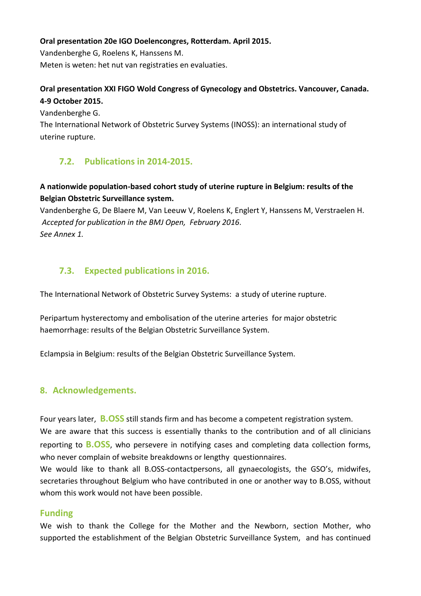### **Oral presentation 20e IGO Doelencongres, Rotterdam. April 2015.**

Vandenberghe G, Roelens K, Hanssens M. Meten is weten: het nut van registraties en evaluaties.

# **Oral presentation XXI FIGO Wold Congress of Gynecology and Obstetrics. Vancouver, Canada. 4-9 October 2015.**

Vandenberghe G.

The International Network of Obstetric Survey Systems (INOSS): an international study of uterine rupture.

# **7.2. Publications in 2014-2015.**

# **A nationwide population-based cohort study of uterine rupture in Belgium: results of the Belgian Obstetric Surveillance system.**

Vandenberghe G, De Blaere M, Van Leeuw V, Roelens K, Englert Y, Hanssens M, Verstraelen H. *Accepted for publication in the BMJ Open, February 2016. See Annex 1.*

# **7.3. Expected publications in 2016.**

The International Network of Obstetric Survey Systems: a study of uterine rupture.

Peripartum hysterectomy and embolisation of the uterine arteries for major obstetric haemorrhage: results of the Belgian Obstetric Surveillance System.

Eclampsia in Belgium: results of the Belgian Obstetric Surveillance System.

# **8. Acknowledgements.**

Four years later, **B.OSS** still stands firm and has become a competent registration system. We are aware that this success is essentially thanks to the contribution and of all clinicians reporting to **B.OSS**, who persevere in notifying cases and completing data collection forms, who never complain of website breakdowns or lengthy questionnaires.

We would like to thank all B.OSS-contactpersons, all gynaecologists, the GSO's, midwifes, secretaries throughout Belgium who have contributed in one or another way to B.OSS, without whom this work would not have been possible.

# **Funding**

We wish to thank the College for the Mother and the Newborn, section Mother, who supported the establishment of the Belgian Obstetric Surveillance System, and has continued